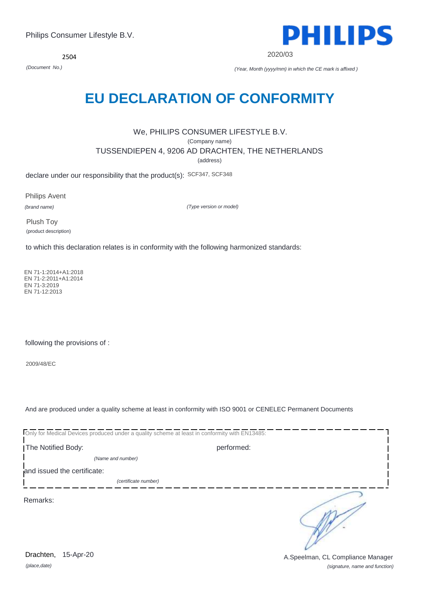*(place,date)* 15-Apr-20

*(signature, name and function)* Drachten, 15-Apr-20 **Drachten**, 15-Apr-20

2504

# **EU DECLARATION OF CONFORMITY**

#### We, PHILIPS CONSUMER LIFESTYLE B.V. (Company name) TUSSENDIEPEN 4, 9206 AD DRACHTEN, THE NETHERLANDS (address)

declare under our responsibility that the product(s): SCF347, SCF348

Philips Avent

*(brand name)*

*(Type version or model)*

Plush Toy (product description)

to which this declaration relates is in conformity with the following harmonized standards:

 EN 71-1:2014+A1:2018 EN 71-2:2011+A1:2014 EN 71-3:2019 EN 71-12:2013

following the provisions of :

2009/48/EC

And are produced under a quality scheme at least in conformity with ISO 9001 or CENELEC Permanent Documents

Only for Medical Devices produced under a quality scheme at least in conformity with EN13485: The Notified Body: performed: *(Name and number)*  and issued the certificate: *(certificate number)* ∋ Remarks:



2020/03

*(Document No.) (Year, Month (yyyy/mm) in which the CE mark is affixed )*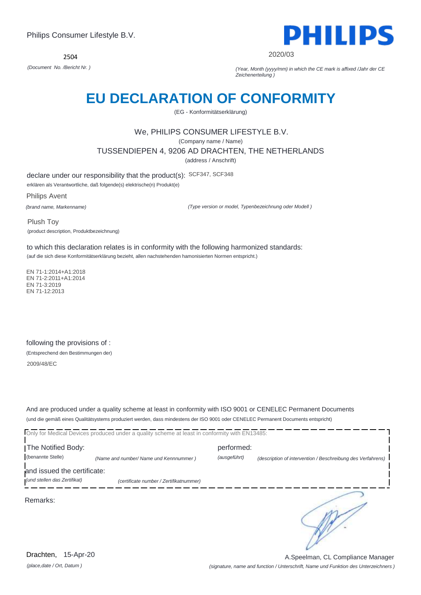2504



2020/03

*(Document No. /Bericht Nr. ) (Year, Month (yyyy/mm) in which the CE mark is affixed /Jahr der CE Zeichenerteilung )*

### **EU DECLARATION OF CONFORMITY**

(EG - Konformitätserklärung)

### We, PHILIPS CONSUMER LIFESTYLE B.V.

(Company name / Name)

TUSSENDIEPEN 4, 9206 AD DRACHTEN, THE NETHERLANDS

(address / Anschrift)

declare under our responsibility that the product(s): SCF347, SCF348

erklären als Verantwortliche, daß folgende(s) elektrische(n) Produkt(e)

Philips Avent

*(brand name, Markenname)*

*(Type version or model, Typenbezeichnung oder Modell )*

Plush Toy (product description, Produktbezeichnung)

to which this declaration relates is in conformity with the following harmonized standards:

(auf die sich diese Konformitätserklärung bezieht, allen nachstehenden hamonisierten Normen entspricht.)

 EN 71-1:2014+A1:2018 EN 71-2:2011+A1:2014 EN 71-3:2019 EN 71-12:2013

following the provisions of : (Entsprechend den Bestimmungen der) 2009/48/EC

And are produced under a quality scheme at least in conformity with ISO 9001 or CENELEC Permanent Documents (und die gemäß eines Qualitätsystems produziert werden, dass mindestens der ISO 9001 oder CENELEC Permanent Documents entspricht)

|                                                             | Only for Medical Devices produced under a quality scheme at least in conformity with EN13485: |              |                                                             |
|-------------------------------------------------------------|-----------------------------------------------------------------------------------------------|--------------|-------------------------------------------------------------|
| The Notified Body:                                          |                                                                                               | performed:   |                                                             |
| (benannte Stelle)                                           | (Name and number/ Name und Kennnummer)                                                        | (ausgeführt) | (description of intervention / Beschreibung des Verfahrens) |
| and issued the certificate:<br>(und stellen das Zertifikat) | (certificate number / Zertifikatnummer)                                                       |              |                                                             |
| Remarks:                                                    |                                                                                               |              |                                                             |

*(place,date / Ort, Datum )* Drachten, 15-Apr-20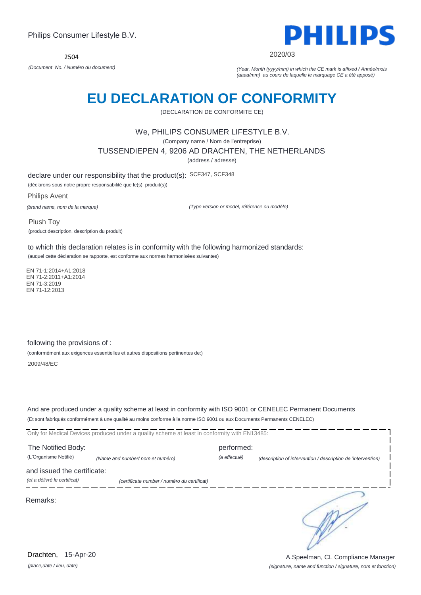2504



2020/03

*(Document No. / Numéro du document) (Year, Month (yyyy/mm) in which the CE mark is affixed / Année/mois (aaaa/mm) au cours de laquelle le marquage CE a été apposé)*

# **EU DECLARATION OF CONFORMITY**

(DECLARATION DE CONFORMITE CE)

#### We, PHILIPS CONSUMER LIFESTYLE B.V.

(Company name / Nom de l'entreprise)

TUSSENDIEPEN 4, 9206 AD DRACHTEN, THE NETHERLANDS

(address / adresse)

declare under our responsibility that the product(s): SCF347, SCF348

(déclarons sous notre propre responsabilité que le(s) produit(s))

Philips Avent *(brand name, nom de la marque)*

*(Type version or model, référence ou modèle)*

Plush Toy (product description, description du produit)

to which this declaration relates is in conformity with the following harmonized standards: (auquel cette déclaration se rapporte, est conforme aux normes harmonisées suivantes)

 EN 71-1:2014+A1:2018 EN 71-2:2011+A1:2014 EN 71-3:2019 EN 71-12:2013

following the provisions of :

(conformément aux exigences essentielles et autres dispositions pertinentes de:)

2009/48/EC

And are produced under a quality scheme at least in conformity with ISO 9001 or CENELEC Permanent Documents (Et sont fabriqués conformément à une qualité au moins conforme à la norme ISO 9001 ou aux Documents Permanents CENELEC)

Only for Medical Devices produced under a quality scheme at least in conformity with EN13485: **The Notified Body: performed:** (L'Organisme Notifié) *(Name and number/ nom et numéro) (a effectué) (description of intervention / description de 'intervention)*  and issued the certificate: *(et a délivré le certificat) (certificate number / numéro du certificat)* ∍ Remarks:

*(place,date / lieu, date)* Drachten, 15-Apr-20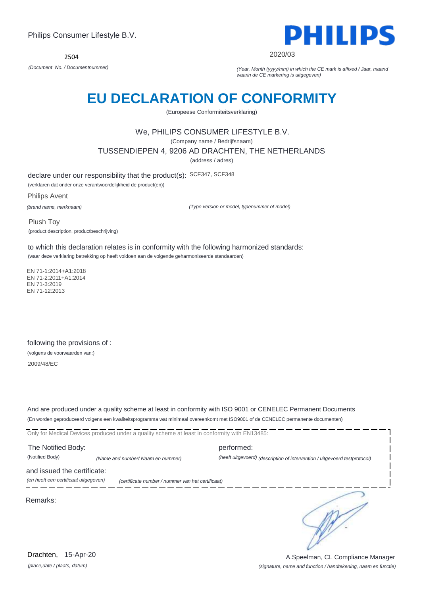

2020/03

*(Document No. / Documentnummer) (Year, Month (yyyy/mm) in which the CE mark is affixed / Jaar, maand waarin de CE markering is uitgegeven)*

# **EU DECLARATION OF CONFORMITY**

(Europeese Conformiteitsverklaring)

#### We, PHILIPS CONSUMER LIFESTYLE B.V.

(Company name / Bedrijfsnaam)

TUSSENDIEPEN 4, 9206 AD DRACHTEN, THE NETHERLANDS

(address / adres)

declare under our responsibility that the product(s): SCF347, SCF348

(verklaren dat onder onze verantwoordelijkheid de product(en))

Philips Avent

*(brand name, merknaam)*

*(Type version or model, typenummer of model)*

Plush Toy (product description, productbeschrijving)

to which this declaration relates is in conformity with the following harmonized standards: (waar deze verklaring betrekking op heeft voldoen aan de volgende geharmoniseerde standaarden)

 EN 71-1:2014+A1:2018 EN 71-2:2011+A1:2014 EN 71-3:2019 EN 71-12:2013

following the provisions of : (volgens de voorwaarden van:) 2009/48/EC

And are produced under a quality scheme at least in conformity with ISO 9001 or CENELEC Permanent Documents (En worden geproduceerd volgens een kwaliteitsprogramma wat minimaal overeenkomt met ISO9001 of de CENELEC permanente documenten)

Only for Medical Devices produced under a quality scheme at least in conformity with EN13485:

I The Notified Body: The Notified Body: (Notified Body) *(Name and number/ Naam en nummer) (heeft uitgevoerd) (description of intervention / uitgevoerd testprotocol)* 

and issued the certificate:

*(en heeft een certificaat uitgegeven) (certificate number / nummer van het certificaat)*

Remarks:

∍

*(place,date / plaats, datum)* Drachten, 15-Apr-20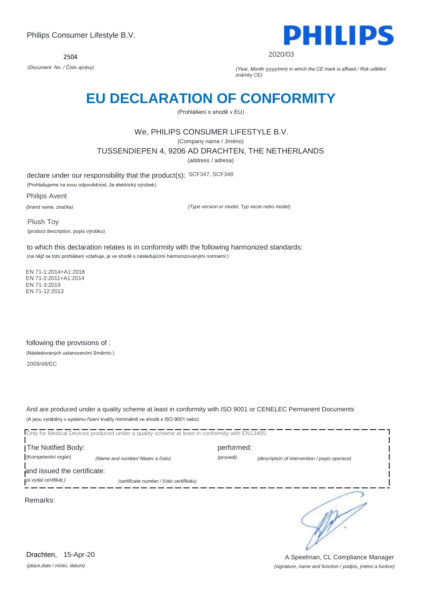2504



2020/03

*(Document No. / Číslo zprávy) (Year, Month (yyyy/mm) in which the CE mark is affixed / Rok udělění známky CE)*

### **EU DECLARATION OF CONFORMITY**

(Prohlášení o shodě v EU)

### We, PHILIPS CONSUMER LIFESTYLE B.V.

(Company name / Jméno)

TUSSENDIEPEN 4, 9206 AD DRACHTEN, THE NETHERLANDS

(address / adresa)

declare under our responsibility that the product(s): SCF347, SCF348 (Prohlašujeme na svou odpovědnost, že elektrický výrobek)

Philips Avent

*(brand name, značka)*

*(Type version or model, Typ verze nebo model)*

Plush Toy (product description, popis výrobku)

to which this declaration relates is in conformity with the following harmonized standards: (na nějž se toto prohlášení vztahuje, je ve shodě s následujícími harmonizovanými normami:)

 EN 71-1:2014+A1:2018 EN 71-2:2011+A1:2014 EN 71-3:2019 EN 71-12:2013

following the provisions of : (Následovaných ustanoveními Směrnic:) 2009/48/EC

And are produced under a quality scheme at least in conformity with ISO 9001 or CENELEC Permanent Documents (A jsou vyráběny v systému řízení kvality minimálně ve shodě s ISO 9001 nebo)

Only for Medical Devices produced under a quality scheme at least in conformity with EN13485: The Notified Body: performed: (Kompetentní orgán) *(Name and number/ Název a číslo) (provedl) (description of intervention / popis operace)*  and issued the certificate: *(a vydal certifikát,) (certificate number / číslo certifikátu)* ∍ Remarks:

*(place,date / místo, datum)* Drachten, 15-Apr-20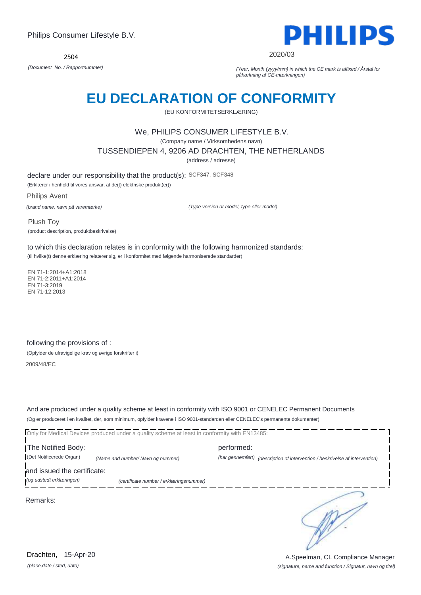2504



2020/03

*(Document No. / Rapportnummer) (Year, Month (yyyy/mm) in which the CE mark is affixed / Årstal for påhæftning af CE-mærkningen)*

### **EU DECLARATION OF CONFORMITY**

(EU KONFORMITETSERKLÆRING)

#### We, PHILIPS CONSUMER LIFESTYLE B.V.

(Company name / Virksomhedens navn)

TUSSENDIEPEN 4, 9206 AD DRACHTEN, THE NETHERLANDS

(address / adresse)

declare under our responsibility that the product(s): SCF347, SCF348

(Erklærer i henhold til vores ansvar, at de(t) elektriske produkt(er))

Philips Avent *(brand name, navn på varemærke)*

*(Type version or model, type eller model)*

Plush Toy (product description, produktbeskrivelse)

to which this declaration relates is in conformity with the following harmonized standards: (til hvilke(t) denne erklæring relaterer sig, er i konformitet med følgende harmoniserede standarder)

 EN 71-1:2014+A1:2018 EN 71-2:2011+A1:2014 EN 71-3:2019 EN 71-12:2013

following the provisions of :

(Opfylder de ufravigelige krav og øvrige forskrifter i)

2009/48/EC

And are produced under a quality scheme at least in conformity with ISO 9001 or CENELEC Permanent Documents (Og er produceret i en kvalitet, der, som minimum, opfylder kravene i ISO 9001-standarden eller CENELEC's permanente dokumenter)

Only for Medical Devices produced under a quality scheme at least in conformity with EN13485:

The Notified Body: example and performed: performed: (Det Notificerede Organ) *(Name and number/ Navn og nummer) (har gennemført) (description of intervention / beskrivelse af intervention)* 

and issued the certificate:

*(og udstedt erklæringen) (certificate number / erklæringsnummer)*

Remarks:

*(place,date / sted, dato)* Drachten, 15-Apr-20

*(signature, name and function / Signatur, navn og titel)* A.Speelman, CL Compliance Manager

∍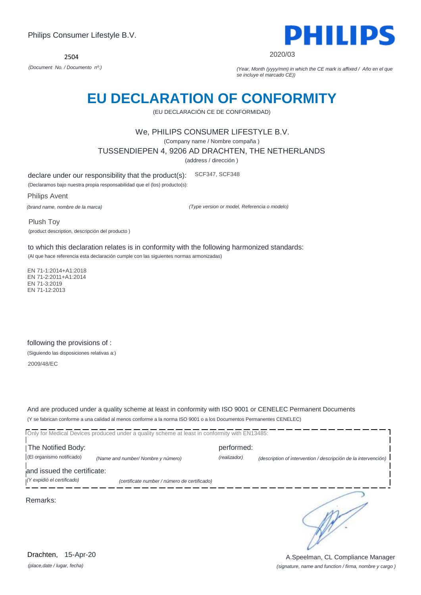

2020/03

*(Document No. / Documento nº.) (Year, Month (yyyy/mm) in which the CE mark is affixed / Año en el que se incluye el marcado CE))*

### **EU DECLARATION OF CONFORMITY**

(EU DECLARACIÓN CE DE CONFORMIDAD)

#### We, PHILIPS CONSUMER LIFESTYLE B.V.

(Company name / Nombre compaña )

TUSSENDIEPEN 4, 9206 AD DRACHTEN, THE NETHERLANDS

(address / dirección )

declare under our responsibility that the product(s): SCF347, SCF348

(Declaramos bajo nuestra propia responsabilidad que el (los) producto(s):

Philips Avent *(brand name, nombre de la marca)*

*(Type version or model, Referencia o modelo)*

Plush Toy (product description, descripción del producto )

to which this declaration relates is in conformity with the following harmonized standards: (Al que hace referencia esta declaración cumple con las siguientes normas armonizadas)

 EN 71-1:2014+A1:2018 EN 71-2:2011+A1:2014 EN 71-3:2019 EN 71-12:2013

following the provisions of : (Siguiendo las disposiciones relativas a:) 2009/48/EC

And are produced under a quality scheme at least in conformity with ISO 9001 or CENELEC Permanent Documents (Y se fabrican conforme a una calidad al menos conforme a la norma ISO 9001 o a los Documentos Permanentes CENELEC)

|                             | Only for Medical Devices produced under a quality scheme at least in conformity with EN13485: |              |                                                                |
|-----------------------------|-----------------------------------------------------------------------------------------------|--------------|----------------------------------------------------------------|
| The Notified Body:          |                                                                                               | performed:   |                                                                |
| (El organismo notificado)   | (Name and number/ Nombre y número)                                                            | (realizador) | (description of intervention / descripción de la intervención) |
| and issued the certificate: |                                                                                               |              |                                                                |
| (Y expidió el certificado)  | (certificate number / número de certificado)                                                  |              |                                                                |
| Remarks:                    |                                                                                               |              |                                                                |

*(place,date / lugar, fecha)* Drachten, 15-Apr-20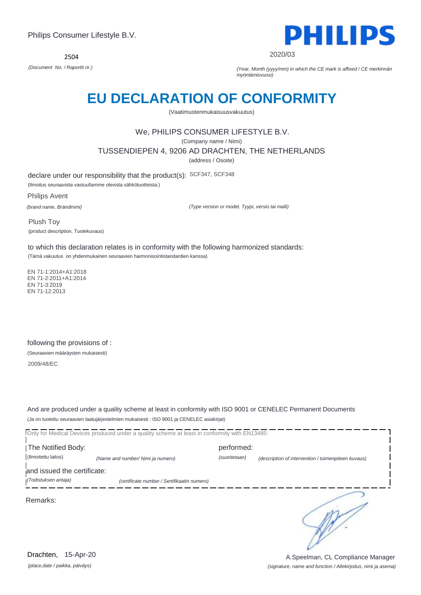2504



2020/03

*(Document No. / Raportti nr.) (Year, Month (yyyy/mm) in which the CE mark is affixed / CE merkinnän myöntämisvuosi)*

# **EU DECLARATION OF CONFORMITY**

(Vaatimustenmukaisuusvakuutus)

### We, PHILIPS CONSUMER LIFESTYLE B.V.

(Company name / Nimi)

TUSSENDIEPEN 4, 9206 AD DRACHTEN, THE NETHERLANDS

(address / Osoite)

declare under our responsibility that the product(s): SCF347, SCF348

(Ilmoitus seuraavista vastuullamme olevista sähkötuotteista:)

Philips Avent

*(brand name, Brändinimi)*

*(Type version or model, Tyypi, versio tai malli)*

Plush Toy (product description, Tuotekuvaus)

to which this declaration relates is in conformity with the following harmonized standards: (Tämä vakuutus on yhdenmukainen seuraavien harmonisointistandardien kanssa)

 EN 71-1:2014+A1:2018 EN 71-2:2011+A1:2014 EN 71-3:2019 EN 71-12:2013

following the provisions of : (Seuraavien määräysten mukaisesti)

2009/48/EC

And are produced under a quality scheme at least in conformity with ISO 9001 or CENELEC Permanent Documents (Ja on tuotettu seuraavien laatujärjestelmien mukaisesti : ISO 9001 ja CENELEC asiakirjat)

Only for Medical Devices produced under a quality scheme at least in conformity with EN13485: I The Notified Body: performed: (Ilmoitettu laitos) *(Name and number/ Nimi ja numero) (suoritetaan) (description of intervention / toimenpiteen kuvaus)*  and issued the certificate: *(Todistuksen antaja) (certificate number / Sertifikaatin numero)* ∍ Remarks:

*(place,date / paikka, päiväys)* Drachten, 15-Apr-20

*(signature, name and function / Allekirjoitus, nimi ja asema)* A.Speelman, CL Compliance Manager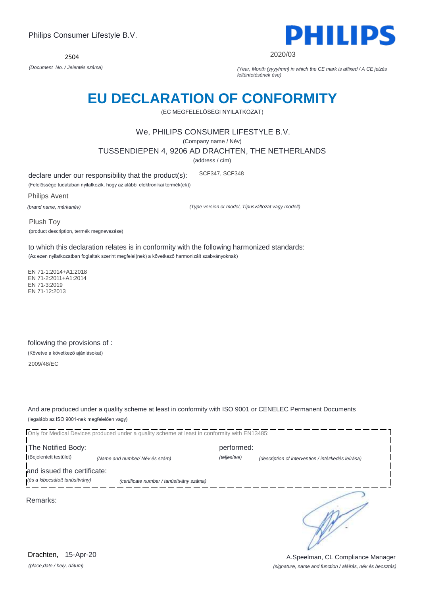2504



2020/03

*(Document No. / Jelentés száma) (Year, Month (yyyy/mm) in which the CE mark is affixed / A CE jelzés feltüntetésének éve)*

# **EU DECLARATION OF CONFORMITY**

(EC MEGFELELŐSÉGI NYILATKOZAT)

#### We, PHILIPS CONSUMER LIFESTYLE B.V.

(Company name / Név)

TUSSENDIEPEN 4, 9206 AD DRACHTEN, THE NETHERLANDS

(address / cím)

declare under our responsibility that the product(s): SCF347, SCF348

(Felelőssége tudatában nyilatkozik, hogy az alábbi elektronikai termék(ek))

Philips Avent

*(brand name, márkanév)*

*(Type version or model, Típusváltozat vagy modell)*

Plush Toy (product description, termék megnevezése)

to which this declaration relates is in conformity with the following harmonized standards: (Az ezen nyilatkozatban foglaltak szerint megfelel(nek) a következő harmonizált szabványoknak)

 EN 71-1:2014+A1:2018 EN 71-2:2011+A1:2014 EN 71-3:2019 EN 71-12:2013

following the provisions of : (Követve a következő ajánlásokat) 2009/48/EC

And are produced under a quality scheme at least in conformity with ISO 9001 or CENELEC Permanent Documents (legalább az ISO 9001-nek megfelelően vagy)

Only for Medical Devices produced under a quality scheme at least in conformity with EN13485: The Notified Body: example and performed: performed: (Bejelentett testület) *(Name and number/ Név és szám) (teljesítve) (description of intervention / intézkedés leírása)*  and issued the certificate: *(és a kibocsátott tanúsítvány) (certificate number / tanúsítvány száma)* ∍ Remarks:

*(place,date / hely, dátum)* Drachten, 15-Apr-20

#### *(signature, name and function / aláírás, név és beosztás)* A.Speelman, CL Compliance Manager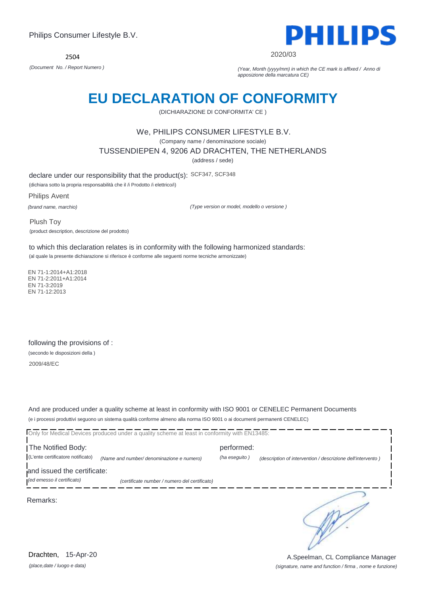

#### 2020/03

*(Document No. / Report Numero ) (Year, Month (yyyy/mm) in which the CE mark is affixed / Anno di apposizione della marcatura CE)*

### **EU DECLARATION OF CONFORMITY**

(DICHIARAZIONE DI CONFORMITA' CE )

#### We, PHILIPS CONSUMER LIFESTYLE B.V.

(Company name / denominazione sociale)

TUSSENDIEPEN 4, 9206 AD DRACHTEN, THE NETHERLANDS

(address / sede)

declare under our responsibility that the product(s): SCF347, SCF348

(dichiara sotto la propria responsabilità che il /i Prodotto /i elettrico/i)

Philips Avent

*(brand name, marchio)*

*(Type version or model, modello o versione )*

Plush Toy (product description, descrizione del prodotto)

to which this declaration relates is in conformity with the following harmonized standards: (al quale la presente dichiarazione si riferisce è conforme alle seguenti norme tecniche armonizzate)

 EN 71-1:2014+A1:2018 EN 71-2:2011+A1:2014 EN 71-3:2019 EN 71-12:2013

following the provisions of : (secondo le disposizioni della ) 2009/48/EC

And are produced under a quality scheme at least in conformity with ISO 9001 or CENELEC Permanent Documents (e i processi produttivi seguono un sistema qualità conforme almeno alla norma ISO 9001 o ai documenti permanenti CENELEC)

|                                   | Only for Medical Devices produced under a quality scheme at least in conformity with EN13485: |               |                                                             |
|-----------------------------------|-----------------------------------------------------------------------------------------------|---------------|-------------------------------------------------------------|
| The Notified Body:                |                                                                                               | performed:    |                                                             |
| (L'ente certificatore notificato) | (Name and number/ denominazione e numero)                                                     | (ha eseguito) | (description of intervention / descrizione dell'intervento) |
| and issued the certificate:       |                                                                                               |               |                                                             |
| (ed emesso il certificato)        | (certificate number / numero del certificato)                                                 |               |                                                             |
| Remarks:                          |                                                                                               |               |                                                             |

*(place,date / luogo e data)* Drachten, 15-Apr-20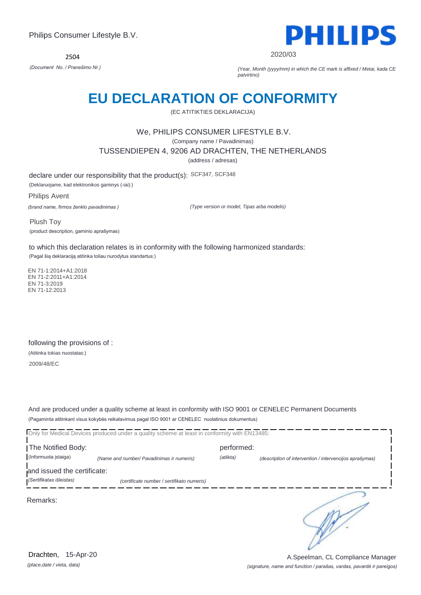2504



2020/03

*(Document No. / Pranešimo Nr.) (Year, Month (yyyy/mm) in which the CE mark is affixed / Metai, kada CE patvirtino)*

### **EU DECLARATION OF CONFORMITY**

(EC ATITIKTIES DEKLARACIJA)

#### We, PHILIPS CONSUMER LIFESTYLE B.V.

(Company name / Pavadinimas)

TUSSENDIEPEN 4, 9206 AD DRACHTEN, THE NETHERLANDS

(address / adresas)

declare under our responsibility that the product(s): SCF347, SCF348

(Deklaruojame, kad elektronikos gaminys (-iai):)

Philips Avent

*(brand name, firmos ženklo pavadinimas )*

*(Type version or model, Tipas arba modelis)*

Plush Toy (product description, gaminio aprašymas)

to which this declaration relates is in conformity with the following harmonized standards: (Pagal šią deklaraciją atitinka toliau nurodytus standartus:)

 EN 71-1:2014+A1:2018 EN 71-2:2011+A1:2014 EN 71-3:2019 EN 71-12:2013

following the provisions of : (Atitinka tokias nuostatas:) 2009/48/EC

And are produced under a quality scheme at least in conformity with ISO 9001 or CENELEC Permanent Documents (Pagaminta atitinkant visus kokybės reikalavimus pagal ISO 9001 ar CENELEC nuolatinius dokumentus)

|                             | Only for Medical Devices produced under a quality scheme at least in conformity with EN13485: |            |                                                         |
|-----------------------------|-----------------------------------------------------------------------------------------------|------------|---------------------------------------------------------|
| The Notified Body:          |                                                                                               | performed: |                                                         |
| (Informuota įstaiga)        | (Name and number/ Pavadinimas ir numeris)                                                     | (atlikta)  | (description of intervention / intervencijos aprašymas) |
| and issued the certificate: |                                                                                               |            |                                                         |
| (Sertifikatas išleistas)    | (certificate number / sertifikato numeris)                                                    |            |                                                         |
| Remarks:                    |                                                                                               |            |                                                         |

*(place,date / vieta, data)* Drachten, 15-Apr-20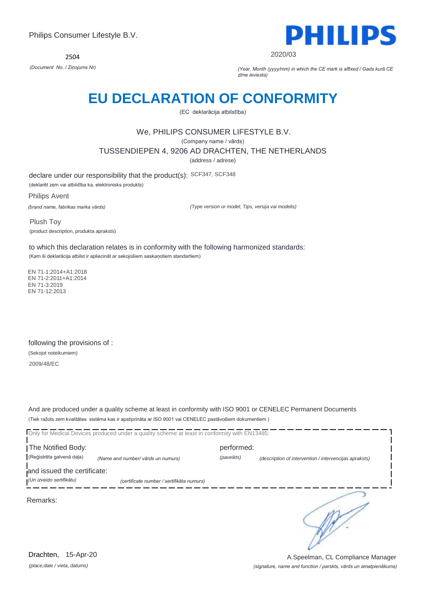2504



2020/03

*(Document No. / Ziņojums Nr) (Year, Month (yyyy/mm) in which the CE mark is affixed / Gads kurā CE zīme ieviesta)*

### **EU DECLARATION OF CONFORMITY**

(EC deklarācija atbilstība)

### We, PHILIPS CONSUMER LIFESTYLE B.V.

(Company name / vārds)

TUSSENDIEPEN 4, 9206 AD DRACHTEN, THE NETHERLANDS

(address / adrese)

declare under our responsibility that the product(s): SCF347, SCF348 (deklarēt zem vai atbildība ka, elektronisks produkts)

Philips Avent *(brand name, fabrikas marka vārds)*

*(Type version or model, Tips, versija vai modelis)*

Plush Toy (product description, produkta apraksts)

to which this declaration relates is in conformity with the following harmonized standards: (Kam ši deklarācija atbilst ir apliecināt ar sekojošiem saskaņotiem standartiem)

 EN 71-1:2014+A1:2018 EN 71-2:2011+A1:2014 EN 71-3:2019 EN 71-12:2013

following the provisions of : (Sekojot noteikumiem) 2009/48/EC

And are produced under a quality scheme at least in conformity with ISO 9001 or CENELEC Permanent Documents (Tiek ražots zem kvalitātes sistēma kas ir apstiprināta ar ISO 9001 vai CENELEC pastāvošiem dokumentiem )

|                                                         | Only for Medical Devices produced under a quality scheme at least in conformity with EN13485: |            |                                                        |
|---------------------------------------------------------|-----------------------------------------------------------------------------------------------|------------|--------------------------------------------------------|
| The Notified Body:                                      |                                                                                               | performed: |                                                        |
| (Reģistrēta galvenā daļa)                               | (Name and number/ vārds un numurs)                                                            | (paveikts) | (description of intervention / intervencijas apraksts) |
| and issued the certificate:<br>(Un izveido sertifikātu) | (certificate number / sertifikāta numurs)                                                     |            |                                                        |
| Remarks:                                                |                                                                                               |            |                                                        |
|                                                         |                                                                                               |            |                                                        |

*(place,date / vieta, datums)* Drachten, 15-Apr-20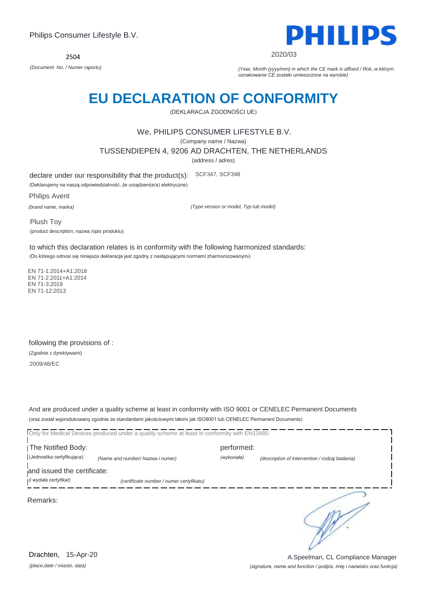

2020/03

*(Document No. / Numer raportu) (Year, Month (yyyy/mm) in which the CE mark is affixed / Rok, w którym oznakowanie CE zostało umieszczone na wyrobie)*

# **EU DECLARATION OF CONFORMITY**

(DEKLARACJA ZGODNOŚCI UE)

#### We, PHILIPS CONSUMER LIFESTYLE B.V.

(Company name / Nazwa)

TUSSENDIEPEN 4, 9206 AD DRACHTEN, THE NETHERLANDS

(address / adres)

declare under our responsibility that the product(s): SCF347, SCF348

(Deklarujemy na naszą odpowiedzialność, że urządzeni(e/a) elektryczne)

Philips Avent

*(brand name, marka)*

*(Type version or model, Typ lub model)*

Plush Toy (product description, nazwa /opis produktu)

to which this declaration relates is in conformity with the following harmonized standards:

(Do którego odnosi się niniejsza deklaracja jest zgodny z następującymi normami zharmonizowanymi)

 EN 71-1:2014+A1:2018 EN 71-2:2011+A1:2014 EN 71-3:2019 EN 71-12:2013

following the provisions of : (Zgodnie z dyrektywami) 2009/48/EC

And are produced under a quality scheme at least in conformity with ISO 9001 or CENELEC Permanent Documents (oraz został wyprodukowany zgodnie ze standardami jakościowymi takimi jak ISO9001 lub CENELEC Permanent Documents)

Only for Medical Devices produced under a quality scheme at least in conformity with EN13485: The Notified Body: performed: (Jednostka certyfikująca) *(Name and number/ Nazwa i numer) (wykonała) (description of intervention / rodzaj badania)*  and issued the certificate: *(i wydała certyfikat) (certificate number / numer certyfikatu)* ∍ Remarks:

*(place,date / miasto, data)* Drachten, 15-Apr-20

*(signature, name and function / podpis, imię i nazwisko oraz funkcja)* A.Speelman, CL Compliance Manager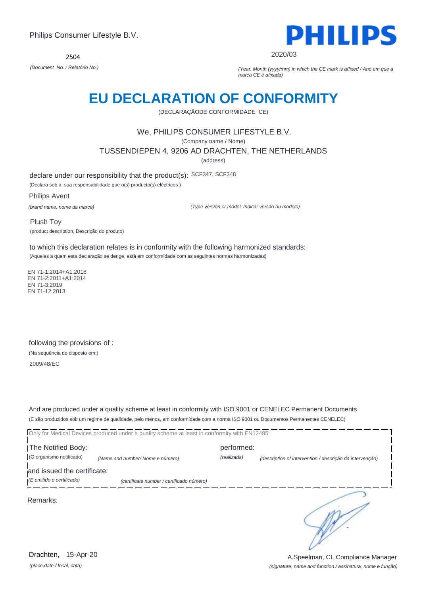2504



2020/03

*(Document No. / Relatório No.) (Year, Month (yyyy/mm) in which the CE mark is affixed / Ano em que a marca CE é afixada)*

### **EU DECLARATION OF CONFORMITY**

(DECLARAÇÃODE CONFORMIDADE CE)

#### We, PHILIPS CONSUMER LIFESTYLE B.V.

(Company name / Nome)

TUSSENDIEPEN 4, 9206 AD DRACHTEN, THE NETHERLANDS

(address)

declare under our responsibility that the product(s): SCF347, SCF348

(Declara sob a sua responsabilidade que o(s) producto(s) eléctricos )

Philips Avent

*(brand name, nome da marca)*

*(Type version or model, Indicar versão ou modelo)*

Plush Toy (product description, Descrição do produto)

to which this declaration relates is in conformity with the following harmonized standards: (Aqueles a quem esta declaração se derige, está em conformidade com as seguintes normas harmonizadas)

 EN 71-1:2014+A1:2018 EN 71-2:2011+A1:2014 EN 71-3:2019 EN 71-12:2013

following the provisions of : (Na sequência do disposto em:) 2009/48/EC

And are produced under a quality scheme at least in conformity with ISO 9001 or CENELEC Permanent Documents (E são produzidos sob um regime de qualidade, pelo menos, em conformidade com a norma ISO 9001 ou Documentos Permanentes CENELEC)

|                             | Only for Medical Devices produced under a quality scheme at least in conformity with EN13485: |             |                                                          |
|-----------------------------|-----------------------------------------------------------------------------------------------|-------------|----------------------------------------------------------|
| The Notified Body:          |                                                                                               | performed:  |                                                          |
| (O organismo notificado)    | (Name and number/ Nome e número)                                                              | (realizada) | (description of intervention / descrição da intervenção) |
| and issued the certificate: |                                                                                               |             |                                                          |
| $E$ emitido o certificado)  | (certificate number / certificado número)                                                     |             |                                                          |
| Remarks:                    |                                                                                               |             |                                                          |

*(place,date / local, data)* Drachten, 15-Apr-20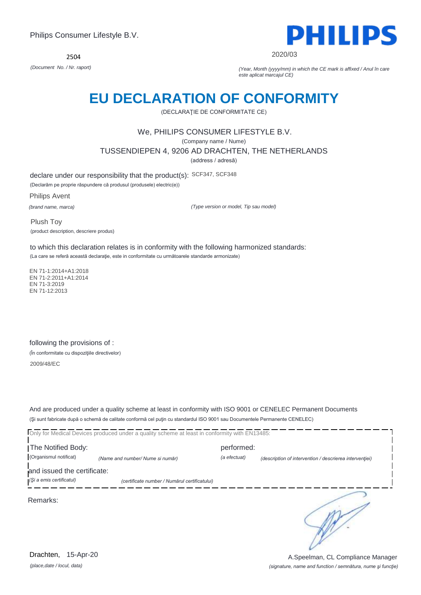2504



2020/03

*(Document No. / Nr. raport) (Year, Month (yyyy/mm) in which the CE mark is affixed / Anul în care este aplicat marcajul CE)*

### **EU DECLARATION OF CONFORMITY**

(DECLARAŢIE DE CONFORMITATE CE)

#### We, PHILIPS CONSUMER LIFESTYLE B.V.

(Company name / Nume)

TUSSENDIEPEN 4, 9206 AD DRACHTEN, THE NETHERLANDS

(address / adresă)

declare under our responsibility that the product(s): SCF347, SCF348

(Declarăm pe proprie răspundere că produsul (produsele) electric(e))

Philips Avent

*(brand name, marca)*

*(Type version or model, Tip sau model)*

Plush Toy (product description, descriere produs)

to which this declaration relates is in conformity with the following harmonized standards: (La care se referă această declaraţie, este in conformitate cu următoarele standarde armonizate)

 EN 71-1:2014+A1:2018 EN 71-2:2011+A1:2014 EN 71-3:2019 EN 71-12:2013

following the provisions of : (În conformitate cu dispoziţiile directivelor)

2009/48/EC

And are produced under a quality scheme at least in conformity with ISO 9001 or CENELEC Permanent Documents (Şi sunt fabricate după o schemă de calitate conformă cel puţin cu standardul ISO 9001 sau Documentele Permanente CENELEC)

|                             | Only for Medical Devices produced under a quality scheme at least in conformity with EN13485: |              |                                                         |
|-----------------------------|-----------------------------------------------------------------------------------------------|--------------|---------------------------------------------------------|
| The Notified Body:          |                                                                                               | performed:   |                                                         |
| (Organismul notificat)      | (Name and number/ Nume si număr)                                                              | (a efectuat) | (description of intervention / descrierea interventiei) |
| and issued the certificate: |                                                                                               |              |                                                         |
| (Și a emis certificatul)    | (certificate number / Numărul certificatului)                                                 |              |                                                         |
| Remarks:                    |                                                                                               |              |                                                         |

*(place,date / locul, data)* Drachten, 15-Apr-20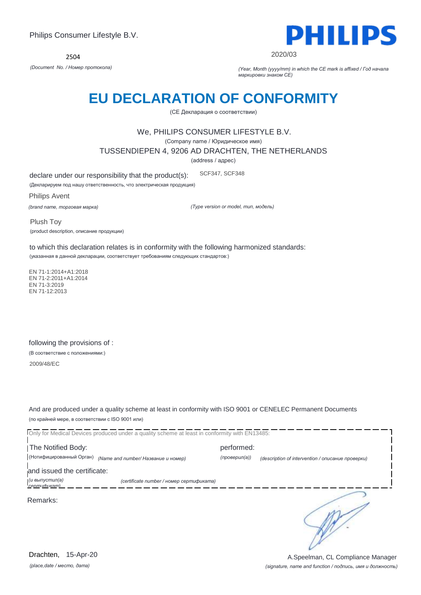

2020/03

*(Document No. / Номер протокола) (Year, Month (yyyy/mm) in which the CE mark is affixed / Год начала маркировки знаком CE)*

### **EU DECLARATION OF CONFORMITY**

(CE Декларация о соответствии)

#### We, PHILIPS CONSUMER LIFESTYLE B.V.

(Company name / Юридическое имя)

TUSSENDIEPEN 4, 9206 AD DRACHTEN, THE NETHERLANDS

(address / адрес)

declare under our responsibility that the product(s): SCF347, SCF348

(Декларируем под нашу ответственность, что электрическая продукция)

Philips Avent

*(brand name, торговая марка)*

*(Type version or model, тип, модель)*

Plush Toy (product description, описание продукции)

to which this declaration relates is in conformity with the following harmonized standards: (указанная в данной декларации, соответствует требованиям следующих стандартов:)

 EN 71-1:2014+A1:2018 EN 71-2:2011+A1:2014 EN 71-3:2019 EN 71-12:2013

following the provisions of : (В соответствие с положениями:) 2009/48/EC

And are produced under a quality scheme at least in conformity with ISO 9001 or CENELEC Permanent Documents (по крайней мере, в соответствии с ISO 9001 или)

|                                     | Only for Medical Devices produced under a quality scheme at least in conformity with EN13485: |               |                                                   |
|-------------------------------------|-----------------------------------------------------------------------------------------------|---------------|---------------------------------------------------|
| The Notified Body:                  |                                                                                               | performed:    |                                                   |
| (Нотифицированный Орган)            | (Name and number/ Название и номер)                                                           | (проверил(а)) | (description of intervention / описание проверки) |
| and issued the certificate:         |                                                                                               |               |                                                   |
| (и выпустил(а)<br><b>CADDUCTION</b> | (certificate number / номер сертификата)                                                      |               |                                                   |
| Remarks:                            |                                                                                               |               |                                                   |

*(place,date / место, дата)* Drachten, 15-Apr-20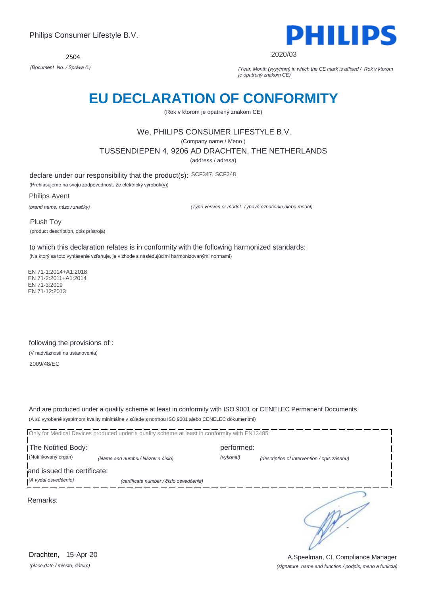2504



#### 2020/03

*(Document No. / Správa č.) (Year, Month (yyyy/mm) in which the CE mark is affixed / Rok v ktorom je opatrený znakom CE)*

### **EU DECLARATION OF CONFORMITY**

(Rok v ktorom je opatrený znakom CE)

#### We, PHILIPS CONSUMER LIFESTYLE B.V.

(Company name / Meno )

TUSSENDIEPEN 4, 9206 AD DRACHTEN, THE NETHERLANDS

(address / adresa)

declare under our responsibility that the product(s): SCF347, SCF348

(Prehlasujeme na svoju zodpovednosť, že elektrický výrobok(y))

Philips Avent

*(brand name, názov značky)*

*(Type version or model, Typové označenie alebo model)*

Plush Toy (product description, opis prístroja)

to which this declaration relates is in conformity with the following harmonized standards: (Na ktorý sa toto vyhlásenie vzťahuje, je v zhode s nasledujúcimi harmonizovanými normami)

 EN 71-1:2014+A1:2018 EN 71-2:2011+A1:2014 EN 71-3:2019 EN 71-12:2013

following the provisions of : (V nadväznosti na ustanovenia) 2009/48/EC

And are produced under a quality scheme at least in conformity with ISO 9001 or CENELEC Permanent Documents (A sú vyrobené systémom kvality minimálne v súlade s normou ISO 9001 alebo CENELEC dokumentmi)

| The Notified Body:          |                                         | performed: |                                             |
|-----------------------------|-----------------------------------------|------------|---------------------------------------------|
| (Notifikovaný orgán)        | (Name and number/ Názov a číslo)        | (vykonal)  | (description of intervention / opis zásahu) |
| and issued the certificate: |                                         |            |                                             |
| (A vydal osvedčenie)        | (certificate number / číslo osvedčenia) |            |                                             |
| Remarks:                    |                                         |            |                                             |

*(place,date / miesto, dátum)* Drachten, 15-Apr-20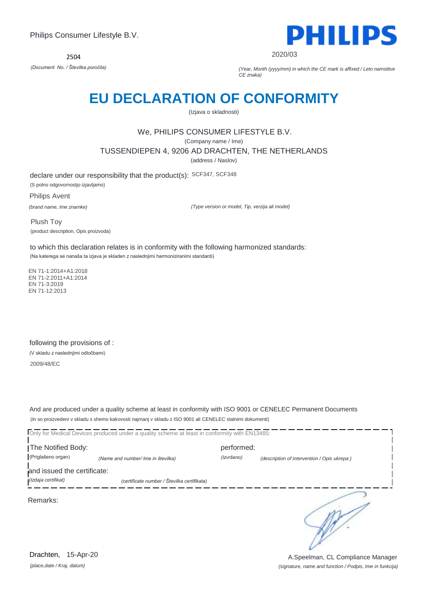

2020/03

*(Document No. / Številka poročila) (Year, Month (yyyy/mm) in which the CE mark is affixed / Leto namstitve CE znaka)*

### **EU DECLARATION OF CONFORMITY**

(Izjava o skladnosti)

### We, PHILIPS CONSUMER LIFESTYLE B.V.

(Company name / Ime)

TUSSENDIEPEN 4, 9206 AD DRACHTEN, THE NETHERLANDS

(address / Naslov)

declare under our responsibility that the product(s): SCF347, SCF348 (S polno odgovornostjo izjavljamo)

Philips Avent

*(brand name, Ime znamke)*

*(Type version or model, Tip, verzija ali model)*

Plush Toy (product description, Opis proizvoda)

to which this declaration relates is in conformity with the following harmonized standards: (Na katerega se nanaša ta izjava je skladen z naslednjimi harmoniziranimi standardi)

 EN 71-1:2014+A1:2018 EN 71-2:2011+A1:2014 EN 71-3:2019 EN 71-12:2013

following the provisions of : (V skladu z naslednjimi odločbami)

2009/48/EC

And are produced under a quality scheme at least in conformity with ISO 9001 or CENELEC Permanent Documents (In so proizvedeni v skladu s shemo kakovosti najmanj v skladu z ISO 9001 ali CENELEC stalnimi dokumenti)

Only for Medical Devices produced under a quality scheme at least in conformity with EN13485: The Notified Body: performed: (Priglašeno organ) *(Name and number/ Ime in številka) (Izvršeno) (description of intervention / Opis ukrepa )*  and issued the certificate: *(Izdaja certifikat) (certificate number / Številka certifikata)* ∍ Remarks:

*(place,date / Kraj, datum)* Drachten, 15-Apr-20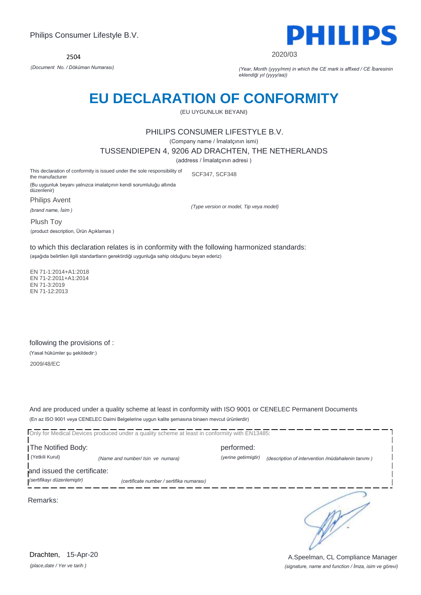

2020/03

*(Document No. / Döküman Numarası) (Year, Month (yyyy/mm) in which the CE mark is affixed / CE İbaresinin eklendiği yıl (yyyy/aa))*

### **EU DECLARATION OF CONFORMITY**

(EU UYGUNLUK BEYANI)

#### PHILIPS CONSUMER LIFESTYLE B.V.

(Company name / İmalatçının ismi)

TUSSENDIEPEN 4, 9206 AD DRACHTEN, THE NETHERLANDS

(address / İmalatçının adresi )

This declaration of conformity is issued under the sole responsibility of the manufacturer SCF347, SCF348

(Bu uygunluk beyanı yalnızca imalatçının kendi sorumluluğu altında düzenlenir)

Philips Avent

*(brand name, İsim )*

*(Type version or model, Tip veya model)*

Plush Toy (product description, Ürün Açıklamas )

to which this declaration relates is in conformity with the following harmonized standards: (aşağıda belirtilen ilgili standartların gerektirdiği uygunluğa sahip olduğunu beyan ederiz)

 EN 71-1:2014+A1:2018 EN 71-2:2011+A1:2014 EN 71-3:2019 EN 71-12:2013

following the provisions of : (Yasal hükümler şu şekildedir:) 2009/48/EC

And are produced under a quality scheme at least in conformity with ISO 9001 or CENELEC Permanent Documents (En az ISO 9001 veya CENELEC Daimi Belgelerine uygun kalite şemasına binaen mevcut ürünlerdir)

Only for Medical Devices produced under a quality scheme at least in conformity with EN13485:

The Notified Body: performed: (Yetkili Kurul) *(Name and number/ Isin ve numara) (yerine getirmiştir) (description of intervention /müdahalenin tanımı )* 

and issued the certificate:

*(sertifikayı düzenlemiştir) (certificate number / sertifika numarası)*

Remarks:

*(place,date / Yer ve tarih )* Drachten, 15-Apr-20 ∍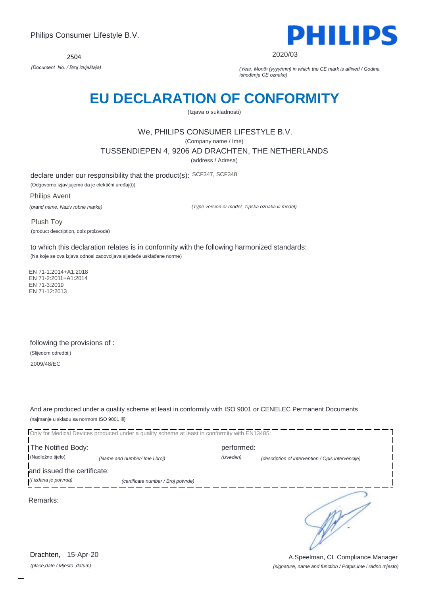2504



2020/03

*(Document No. / Broj izvještaja) (Year, Month (yyyy/mm) in which the CE mark is affixed / Godina ishođenja CE oznake)*

### **EU DECLARATION OF CONFORMITY**

(Izjava o sukladnosti)

### We, PHILIPS CONSUMER LIFESTYLE B.V.

(Company name / Ime)

TUSSENDIEPEN 4, 9206 AD DRACHTEN, THE NETHERLANDS

(address / Adresa)

declare under our responsibility that the product(s): SCF347, SCF348 (Odgovorno izjavljujemo da je elektični uređaj(i))

Philips Avent *(brand name, Naziv robne marke)*

*(Type version or model, Tipska oznaka ili model)*

Plush Toy (product description, opis proizvoda)

to which this declaration relates is in conformity with the following harmonized standards: (Na koje se ova izjava odnosi zadovoljava sljedeće usklađene norme)

 EN 71-1:2014+A1:2018 EN 71-2:2011+A1:2014 EN 71-3:2019 EN 71-12:2013

following the provisions of : (Slijedom odredbi:) 2009/48/EC

And are produced under a quality scheme at least in conformity with ISO 9001 or CENELEC Permanent Documents (najmanje u skladu sa normom ISO 9001 ili)

Only for Medical Devices produced under a quality scheme at least in conformity with EN13485: The Notified Body: performed:

(Nadležno tijelo) *(Name and number/ Ime i broj) (Izveden) (description of intervention / Opis intervencije)* 

and issued the certificate:

*(I izdana je potvrda) (certificate number / Broj potvrde)*

Remarks:

*(place,date / Mjesto ,datum)* Drachten, 15-Apr-20 ∍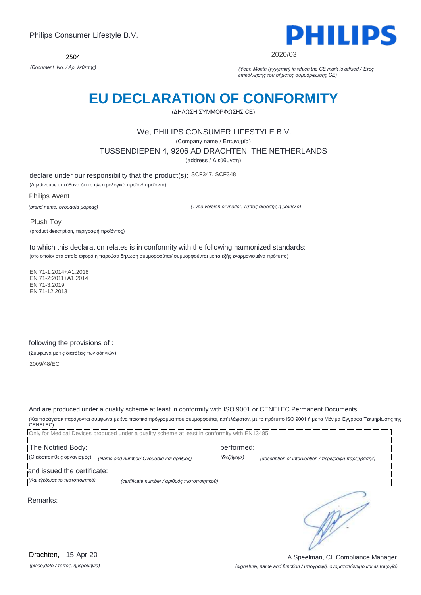2504



2020/03

*(Document No. / Αρ. έκθεσης) (Year, Month (yyyy/mm) in which the CE mark is affixed / Έτος επικόλλησης του σήματος συμμόρφωσης CE)*

### **EU DECLARATION OF CONFORMITY**

(ΔΗΛΩΣΗ ΣΥΜΜΟΡΦΩΣΗΣ CE)

#### We, PHILIPS CONSUMER LIFESTYLE B.V.

(Company name / Επωνυμία)

TUSSENDIEPEN 4, 9206 AD DRACHTEN, THE NETHERLANDS

(address / Διεύθυνση)

declare under our responsibility that the product(s): SCF347, SCF348

(Δηλώνουμε υπεύθυνα ότι το ηλεκτρολογικό προϊόν/ προϊόντα)

Philips Avent *(brand name, ονομασία μάρκας)*

*(Type version or model, Τύπος έκδοσης ή μοντέλο)*

Plush Toy (product description, περιγραφή προϊόντος)

to which this declaration relates is in conformity with the following harmonized standards: (στο οποίο/ στα οποία αφορά η παρούσα δήλωση συμμορφούται/ συμμορφούνται με τα εξής εναρμονισμένα πρότυπα)

 EN 71-1:2014+A1:2018 EN 71-2:2011+A1:2014 EN 71-3:2019 EN 71-12:2013

following the provisions of : (Σύμφωνα με τις διατάξεις των οδηγιών) 2009/48/EC

And are produced under a quality scheme at least in conformity with ISO 9001 or CENELEC Permanent Documents (Και παράγεται/ παράγονται σύμφωνα με ένα ποιοτικό πρόγραμμα που συμμορφούται, κατ'ελάχιστον, με το πρότυπο ISO 9001 ή με τα Μόνιμα Έγγραφα Τεκμηρίωσης της

CENELEC) Only for Medical Devices produced under a quality scheme at least in conformity with EN13485: The Notified Body: performed: (Ο ειδοποιηθείς οργανισμός) *(Name and number/ Ονομασία και αριθμός) (διεξήγαγε) (description of intervention / περιγραφή παρέμβασης)*  and issued the certificate: *(Και εξέδωσε το πιστοποιητικό) (certificate number / αριθμός πιστοποιητικού)*

Remarks:

∍

*(place,date / τόπος, ημερομηνία)* Drachten, 15-Apr-20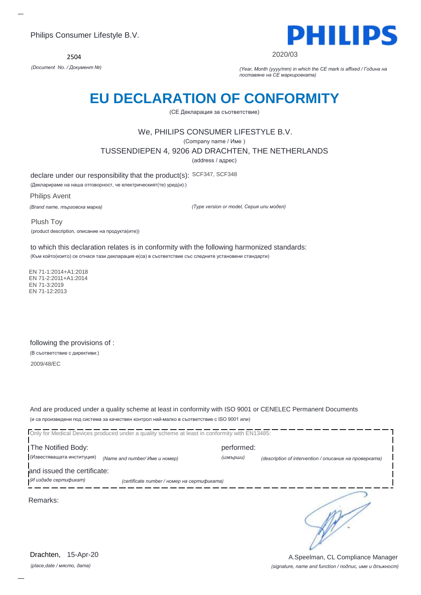2504



2020/03

*(Document No. / Документ №) (Year, Month (yyyy/mm) in which the CE mark is affixed / Година на поставяне на CE маркировката)*

### **EU DECLARATION OF CONFORMITY**

(CE Декларация за съответствие)

### We, PHILIPS CONSUMER LIFESTYLE B.V.

(Company name / Име )

TUSSENDIEPEN 4, 9206 AD DRACHTEN, THE NETHERLANDS

(address / адрес)

declare under our responsibility that the product(s): SCF347, SCF348

(Декларираме на наша отговорност, че електрическият(те) уред(и):)

Philips Avent

*(Brand name, търговска марка)*

*(Type version or model, Серия или модел)*

Plush Toy (product description, описание на продукта(ите))

to which this declaration relates is in conformity with the following harmonized standards: (Към който(които) се отнася тази декларация е(са) в съответствие със следните установени стандарти)

 EN 71-1:2014+A1:2018 EN 71-2:2011+A1:2014 EN 71-3:2019 EN 71-12:2013

following the provisions of : (В съответствие с директиви:) 2009/48/EC

And are produced under a quality scheme at least in conformity with ISO 9001 or CENELEC Permanent Documents (и са произведени под система за качествен контрол най-малко в съответствие с ISO 9001 или)

| Only for Medical Devices produced under a quality scheme at least in conformity with EN13485: |                                             |            |                                                        |  |
|-----------------------------------------------------------------------------------------------|---------------------------------------------|------------|--------------------------------------------------------|--|
| The Notified Body:                                                                            |                                             | performed: |                                                        |  |
| (Известяващата институция)                                                                    | (Name and number/ Име и номер)              | (извърши)  | (description of intervention / описание на проверката) |  |
| and issued the certificate:<br>(И издаде сертификат)                                          | (certificate number / номер на сертификата) |            |                                                        |  |
| Remarks:                                                                                      |                                             |            |                                                        |  |
|                                                                                               |                                             |            |                                                        |  |

*(place,date / място, дата)* Drachten, 15-Apr-20